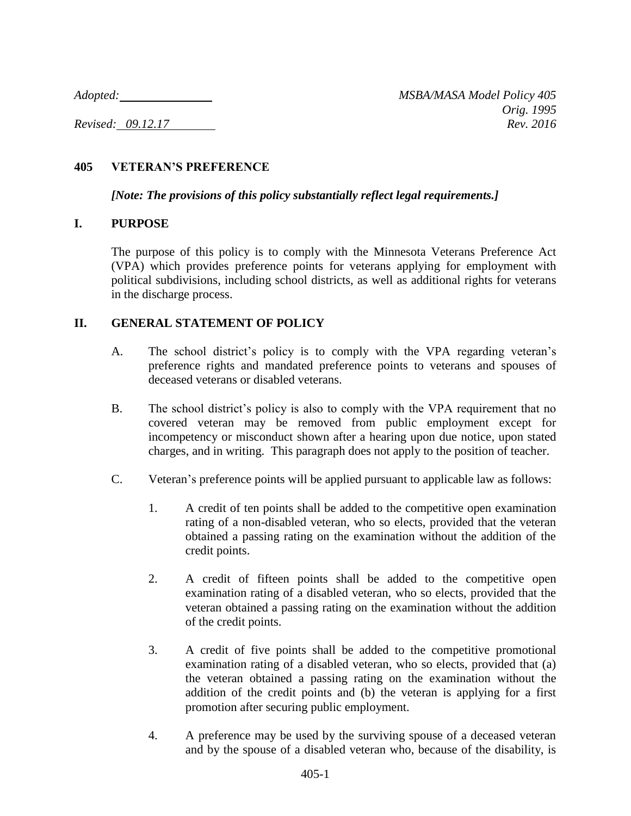## **405 VETERAN'S PREFERENCE**

*[Note: The provisions of this policy substantially reflect legal requirements.]*

## **I. PURPOSE**

The purpose of this policy is to comply with the Minnesota Veterans Preference Act (VPA) which provides preference points for veterans applying for employment with political subdivisions, including school districts, as well as additional rights for veterans in the discharge process.

# **II. GENERAL STATEMENT OF POLICY**

- A. The school district's policy is to comply with the VPA regarding veteran's preference rights and mandated preference points to veterans and spouses of deceased veterans or disabled veterans.
- B. The school district's policy is also to comply with the VPA requirement that no covered veteran may be removed from public employment except for incompetency or misconduct shown after a hearing upon due notice, upon stated charges, and in writing. This paragraph does not apply to the position of teacher.
- C. Veteran's preference points will be applied pursuant to applicable law as follows:
	- 1. A credit of ten points shall be added to the competitive open examination rating of a non-disabled veteran, who so elects, provided that the veteran obtained a passing rating on the examination without the addition of the credit points.
	- 2. A credit of fifteen points shall be added to the competitive open examination rating of a disabled veteran, who so elects, provided that the veteran obtained a passing rating on the examination without the addition of the credit points.
	- 3. A credit of five points shall be added to the competitive promotional examination rating of a disabled veteran, who so elects, provided that (a) the veteran obtained a passing rating on the examination without the addition of the credit points and (b) the veteran is applying for a first promotion after securing public employment.
	- 4. A preference may be used by the surviving spouse of a deceased veteran and by the spouse of a disabled veteran who, because of the disability, is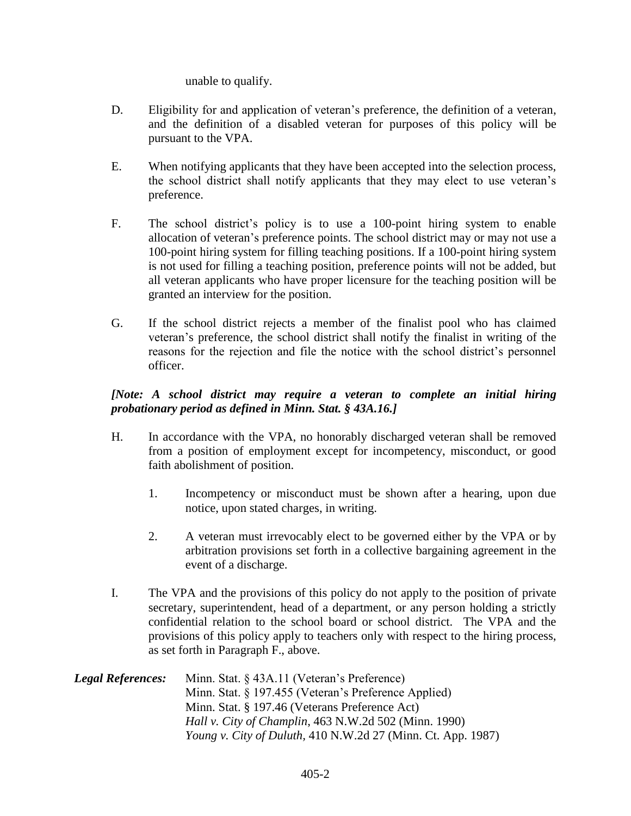#### unable to qualify.

- D. Eligibility for and application of veteran's preference, the definition of a veteran, and the definition of a disabled veteran for purposes of this policy will be pursuant to the VPA.
- E. When notifying applicants that they have been accepted into the selection process, the school district shall notify applicants that they may elect to use veteran's preference.
- F. The school district's policy is to use a 100-point hiring system to enable allocation of veteran's preference points. The school district may or may not use a 100-point hiring system for filling teaching positions. If a 100-point hiring system is not used for filling a teaching position, preference points will not be added, but all veteran applicants who have proper licensure for the teaching position will be granted an interview for the position.
- G. If the school district rejects a member of the finalist pool who has claimed veteran's preference, the school district shall notify the finalist in writing of the reasons for the rejection and file the notice with the school district's personnel officer.

### *[Note: A school district may require a veteran to complete an initial hiring probationary period as defined in Minn. Stat. § 43A.16.]*

- H. In accordance with the VPA, no honorably discharged veteran shall be removed from a position of employment except for incompetency, misconduct, or good faith abolishment of position.
	- 1. Incompetency or misconduct must be shown after a hearing, upon due notice, upon stated charges, in writing.
	- 2. A veteran must irrevocably elect to be governed either by the VPA or by arbitration provisions set forth in a collective bargaining agreement in the event of a discharge.
- I. The VPA and the provisions of this policy do not apply to the position of private secretary, superintendent, head of a department, or any person holding a strictly confidential relation to the school board or school district. The VPA and the provisions of this policy apply to teachers only with respect to the hiring process, as set forth in Paragraph F., above.

| <b>Legal References:</b> | Minn. Stat. § 43A.11 (Veteran's Preference)                         |
|--------------------------|---------------------------------------------------------------------|
|                          | Minn. Stat. § 197.455 (Veteran's Preference Applied)                |
|                          | Minn. Stat. § 197.46 (Veterans Preference Act)                      |
|                          | <i>Hall v. City of Champlin, 463 N.W.2d 502 (Minn. 1990)</i>        |
|                          | <i>Young v. City of Duluth, 410 N.W.2d 27 (Minn. Ct. App. 1987)</i> |